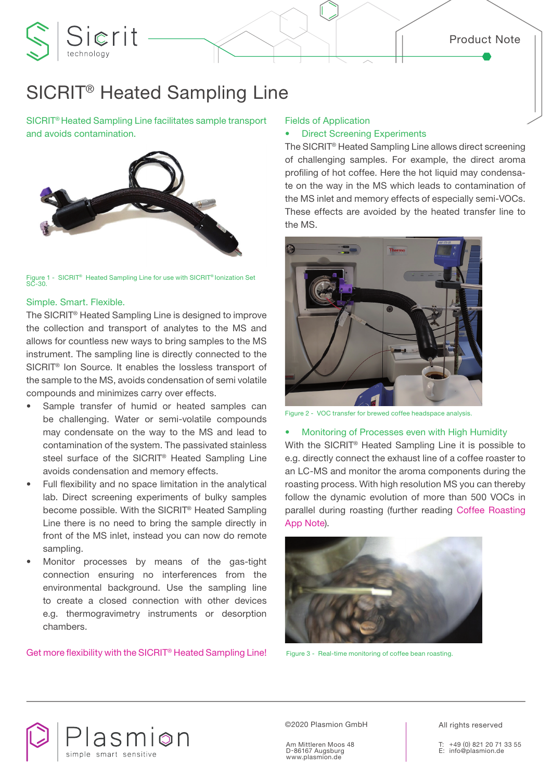# SICRIT® Heated Sampling Line

SICRIT® Heated Sampling Line facilitates sample transport and avoids contamination.

Sierit



SICRIT<sup>®</sup> Heated Sampling Line for use with SICRIT<sup>®</sup> Ionization Set Figure 1<br>SC-30.

## Simple. Smart. Flexible.

The SICRIT® Heated Sampling Line is designed to improve the collection and transport of analytes to the MS and allows for countless new ways to bring samples to the MS instrument. The sampling line is directly connected to the SICRIT® Ion Source. It enables the lossless transport of the sample to the MS, avoids condensation of semi volatile compounds and minimizes carry over effects.

- Sample transfer of humid or heated samples can be challenging. Water or semi-volatile compounds may condensate on the way to the MS and lead to contamination of the system. The passivated stainless steel surface of the SICRIT® Heated Sampling Line avoids condensation and memory effects.
- Full flexibility and no space limitation in the analytical lab. Direct screening experiments of bulky samples become possible. With the SICRIT® Heated Sampling Line there is no need to bring the sample directly in front of the MS inlet, instead you can now do remote sampling.
- Monitor processes by means of the gas-tight connection ensuring no interferences from the environmental background. Use the sampling line to create a closed connection with other devices e.g. thermogravimetry instruments or desorption chambers.

Get more flexibility with the SICRIT® Heated Sampling Line!

## Fields of Application

# **Direct Screening Experiments**

The SICRIT® Heated Sampling Line allows direct screening of challenging samples. For example, the direct aroma profiling of hot coffee. Here the hot liquid may condensate on the way in the MS which leads to contamination of the MS inlet and memory effects of especially semi-VOCs. These effects are avoided by the heated transfer line to the MS.



Figure 2 - VOC transfer for brewed coffee headspace analysis.

#### • Monitoring of Processes even with High Humidity

With the SICRIT® Heated Sampling Line it is possible to e.g. directly connect the exhaust line of a coffee roaster to an LC-MS and monitor the aroma components during the roasting process. With high resolution MS you can thereby follow the dynamic evolution of more than 500 VOCs in parallel during roasting (further reading Coffee Roasting App Note).



Figure 3 - Real-time monitoring of coffee bean roasting.



©2020 Plasmion GmbH

Am Mittleren Moos 48 D-86167 Augsburg www.plasmion.de

All rights reserved

T: +49 (0) 821 20 71 33 55 E: info@plasmion.de